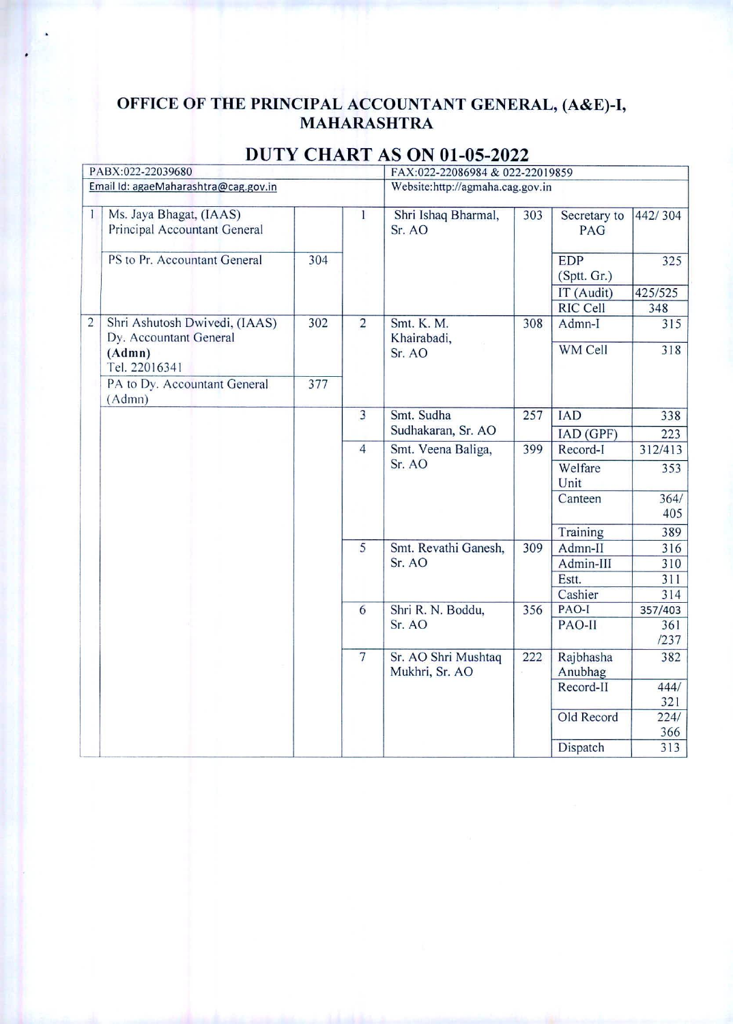## OFFICE OF THE PRINCIPAL ACCOUNTANT GENERAL, (A&E)-I, MAHARASHTRA

|                                      | PABX:022-22039680                                       |     |                 | FAX:022-22086984 & 022-22019859       |     |                           |                |  |
|--------------------------------------|---------------------------------------------------------|-----|-----------------|---------------------------------------|-----|---------------------------|----------------|--|
| Email Id: agaeMaharashtra@cag.gov.in |                                                         |     |                 | Website:http://agmaha.cag.gov.in      |     |                           |                |  |
| 1                                    | Ms. Jaya Bhagat, (IAAS)<br>Principal Accountant General |     | 1               | Shri Ishaq Bharmal,<br>Sr. AO         | 303 | Secretary to<br>PAG       | 442/304        |  |
|                                      | PS to Pr. Accountant General                            | 304 |                 |                                       |     | <b>EDP</b><br>(Sptt. Gr.) | 325            |  |
|                                      |                                                         |     |                 |                                       |     | IT (Audit)                | 425/525        |  |
| $\overline{2}$                       | Shri Ashutosh Dwivedi, (IAAS)                           | 302 | $\overline{2}$  | Smt. K. M.                            | 308 | RIC Cell<br>Admn-I        | 348<br>315     |  |
|                                      | Dy. Accountant General                                  |     |                 | Khairabadi,                           |     |                           |                |  |
|                                      | (Admn)<br>Tel. 22016341                                 |     |                 | Sr. AO                                |     | WM Cell                   | 318            |  |
|                                      | PA to Dy. Accountant General<br>(Admn)                  | 377 |                 |                                       |     |                           |                |  |
|                                      |                                                         |     | $\overline{3}$  | Smt. Sudha                            | 257 | <b>IAD</b>                | 338            |  |
|                                      |                                                         |     |                 | Sudhakaran, Sr. AO                    |     | IAD (GPF)                 | 223            |  |
|                                      |                                                         |     | $\overline{4}$  | Smt. Veena Baliga,<br>Sr. AO          | 399 | Record-I                  | 312/413        |  |
|                                      |                                                         |     |                 |                                       |     | Welfare<br>Unit           | 353            |  |
|                                      |                                                         |     |                 |                                       |     | Canteen                   | 364/<br>405    |  |
|                                      |                                                         |     |                 |                                       |     | Training                  | 389            |  |
|                                      |                                                         |     | 5               | Smt. Revathi Ganesh,<br>Sr. AO        | 309 | Admn-II                   | 316            |  |
|                                      |                                                         |     | 6               |                                       |     | Admin-III                 | 310            |  |
|                                      |                                                         |     |                 |                                       |     | Estt.                     | 311            |  |
|                                      |                                                         |     |                 | Shri R. N. Boddu,<br>Sr. AO           | 356 | Cashier<br>PAO-I          | 314<br>357/403 |  |
|                                      |                                                         |     |                 |                                       |     | PAO-II                    | 361            |  |
|                                      |                                                         |     |                 |                                       |     |                           | /237           |  |
|                                      |                                                         |     | $7\phantom{.0}$ | Sr. AO Shri Mushtaq<br>Mukhri, Sr. AO | 222 | Rajbhasha<br>Anubhag      | 382            |  |
|                                      |                                                         |     |                 |                                       |     | Record-II                 | 444/<br>321    |  |
|                                      |                                                         |     |                 |                                       |     | Old Record                | 224/<br>366    |  |
|                                      |                                                         |     |                 |                                       |     | Dispatch                  | 313            |  |

## DUTY CHART AS ON 01-05-2022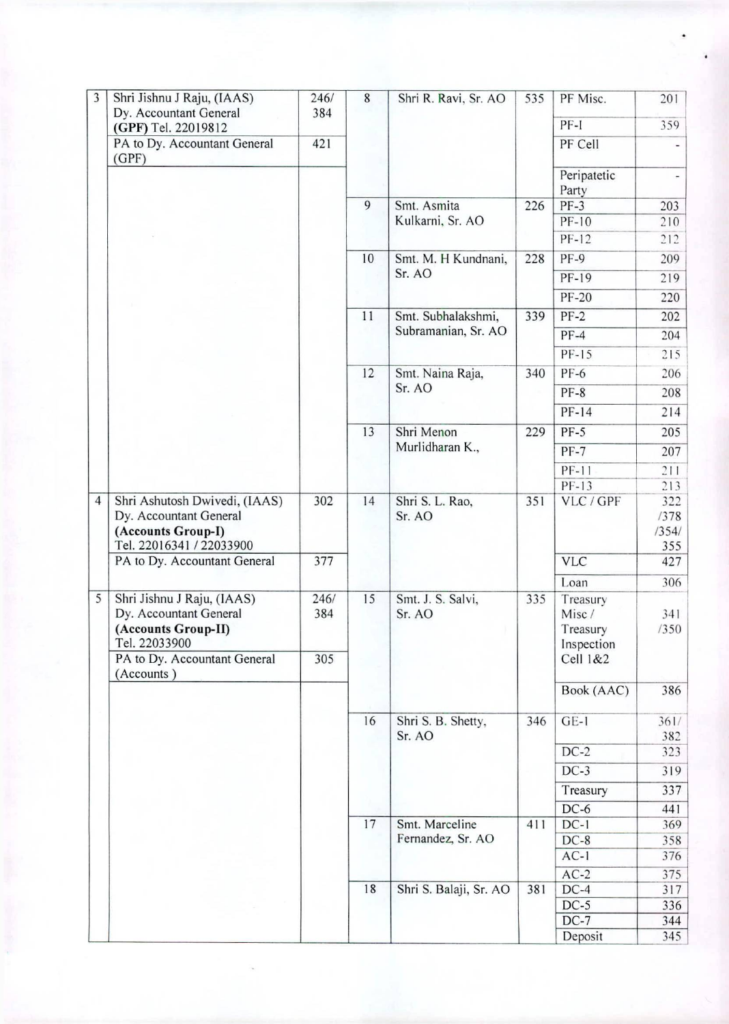| 3              | Shri Jishnu J Raju, (IAAS)<br>Dy. Accountant General                                                                         | 246/<br>384        | 8  | Shri R. Ravi, Sr. AO            | 535 | PF Misc.<br>$PF-I$                                      | 201<br>359                  |
|----------------|------------------------------------------------------------------------------------------------------------------------------|--------------------|----|---------------------------------|-----|---------------------------------------------------------|-----------------------------|
|                | (GPF) Tel. 22019812<br>PA to Dy. Accountant General<br>(GPF)                                                                 | 421                |    |                                 |     | PF Cell                                                 |                             |
|                |                                                                                                                              |                    |    |                                 |     | Peripatetic<br>Party                                    |                             |
|                |                                                                                                                              |                    | 9  | Smt. Asmita<br>Kulkarni, Sr. AO | 226 | $PF-3$                                                  | 203                         |
|                |                                                                                                                              |                    |    |                                 |     | $PF-10$                                                 | 210                         |
|                |                                                                                                                              |                    |    |                                 |     | $PF-12$                                                 | 212                         |
|                |                                                                                                                              |                    | 10 | Smt. M. H Kundnani,             | 228 | $PF-9$                                                  | 209                         |
|                |                                                                                                                              |                    |    | Sr. AO                          |     | PF-19                                                   | 219                         |
|                |                                                                                                                              |                    |    |                                 |     | <b>PF-20</b>                                            | 220                         |
|                |                                                                                                                              |                    | 11 | Smt. Subhalakshmi,              | 339 | $PF-2$                                                  | 202                         |
|                |                                                                                                                              |                    |    | Subramanian, Sr. AO             |     | $PF-4$                                                  | 204                         |
|                |                                                                                                                              |                    |    |                                 |     | $PF-15$                                                 | 215                         |
|                |                                                                                                                              |                    | 12 | Smt. Naina Raja,                | 340 | $PF-6$                                                  | 206                         |
|                |                                                                                                                              |                    |    | Sr. AO                          |     | $PF-8$                                                  | 208                         |
|                |                                                                                                                              |                    |    |                                 |     | $PF-14$                                                 | 214                         |
|                |                                                                                                                              |                    | 13 | Shri Menon                      | 229 | $PF-5$                                                  | 205                         |
|                |                                                                                                                              |                    |    | Murlidharan K.,                 |     | $PF-7$                                                  | 207                         |
|                |                                                                                                                              |                    |    |                                 |     | PF-11                                                   | 211                         |
|                |                                                                                                                              |                    |    |                                 |     | $PF-13$                                                 | 213                         |
| $\overline{4}$ | Shri Ashutosh Dwivedi, (IAAS)<br>Dy. Accountant General<br>(Accounts Group-I)<br>Tel. 22016341 / 22033900                    | 302                | 14 | Shri S. L. Rao,<br>Sr. AO       | 351 | VLC / GPF                                               | 322<br>1378<br>13541<br>355 |
|                | PA to Dy. Accountant General                                                                                                 | 377                |    |                                 |     | <b>VLC</b>                                              | 427                         |
|                |                                                                                                                              |                    |    |                                 |     | Loan                                                    | 306                         |
| 5              | Shri Jishnu J Raju, (IAAS)<br>Dy. Accountant General<br>(Accounts Group-II)<br>Tel. 22033900<br>PA to Dy. Accountant General | 246/<br>384<br>305 | 15 | Smt. J. S. Salvi,<br>Sr. AO     | 335 | Treasury<br>Misc/<br>Treasury<br>Inspection<br>Cell 1&2 | 341<br>/350                 |
|                | (Accounts)                                                                                                                   |                    |    |                                 |     | Book (AAC)                                              | 386                         |
|                |                                                                                                                              |                    | 16 | Shri S. B. Shetty,<br>Sr. AO    | 346 | $GE-1$                                                  | 361/<br>382                 |
|                |                                                                                                                              |                    |    |                                 |     | $DC-2$                                                  | 323                         |
|                |                                                                                                                              |                    |    |                                 |     | $DC-3$                                                  | 319                         |
|                |                                                                                                                              |                    |    |                                 |     | Treasury                                                | 337                         |
|                |                                                                                                                              |                    |    |                                 |     | $DC-6$                                                  | 441                         |
|                |                                                                                                                              |                    | 17 | Smt. Marceline                  | 411 | $DC-1$                                                  | 369                         |
|                |                                                                                                                              |                    |    | Fernandez, Sr. AO               |     | $DC-8$                                                  | 358                         |
|                |                                                                                                                              |                    |    |                                 |     | $AC-1$                                                  | 376                         |
|                |                                                                                                                              |                    |    |                                 |     | $AC-2$                                                  | 375                         |
|                |                                                                                                                              |                    | 18 | Shri S. Balaji, Sr. AO          | 381 | $DC-4$                                                  | 317                         |
|                |                                                                                                                              |                    |    |                                 |     | $DC-5$                                                  | 336                         |
|                |                                                                                                                              |                    |    |                                 |     | $DC-7$                                                  | 344                         |
|                |                                                                                                                              |                    |    |                                 |     | Deposit                                                 | 345                         |